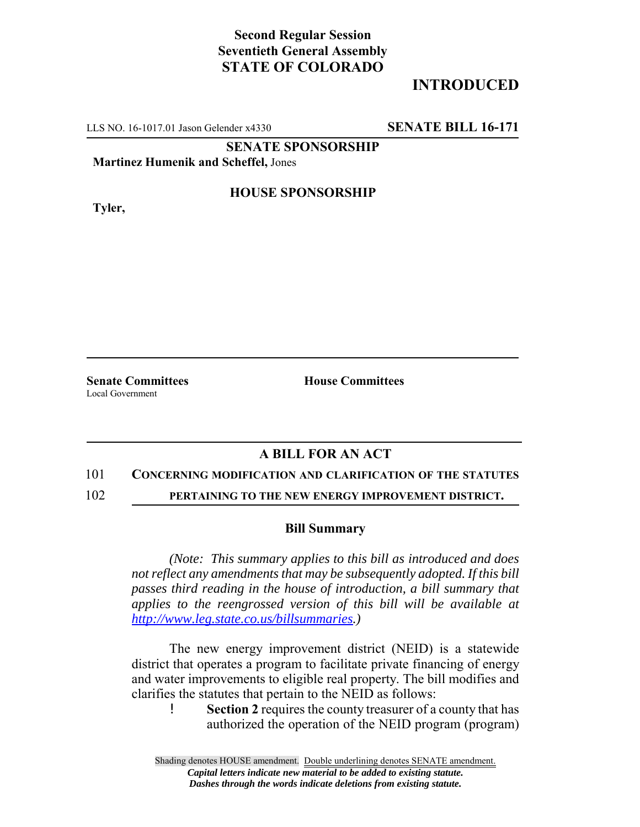## **Second Regular Session Seventieth General Assembly STATE OF COLORADO**

# **INTRODUCED**

LLS NO. 16-1017.01 Jason Gelender x4330 **SENATE BILL 16-171**

**SENATE SPONSORSHIP**

**Martinez Humenik and Scheffel,** Jones

**Tyler,**

### **HOUSE SPONSORSHIP**

**Senate Committees House Committees** Local Government

### **A BILL FOR AN ACT**

#### 101 **CONCERNING MODIFICATION AND CLARIFICATION OF THE STATUTES**

102 **PERTAINING TO THE NEW ENERGY IMPROVEMENT DISTRICT.**

#### **Bill Summary**

*(Note: This summary applies to this bill as introduced and does not reflect any amendments that may be subsequently adopted. If this bill passes third reading in the house of introduction, a bill summary that applies to the reengrossed version of this bill will be available at http://www.leg.state.co.us/billsummaries.)*

The new energy improvement district (NEID) is a statewide district that operates a program to facilitate private financing of energy and water improvements to eligible real property. The bill modifies and clarifies the statutes that pertain to the NEID as follows:

! **Section 2** requires the county treasurer of a county that has authorized the operation of the NEID program (program)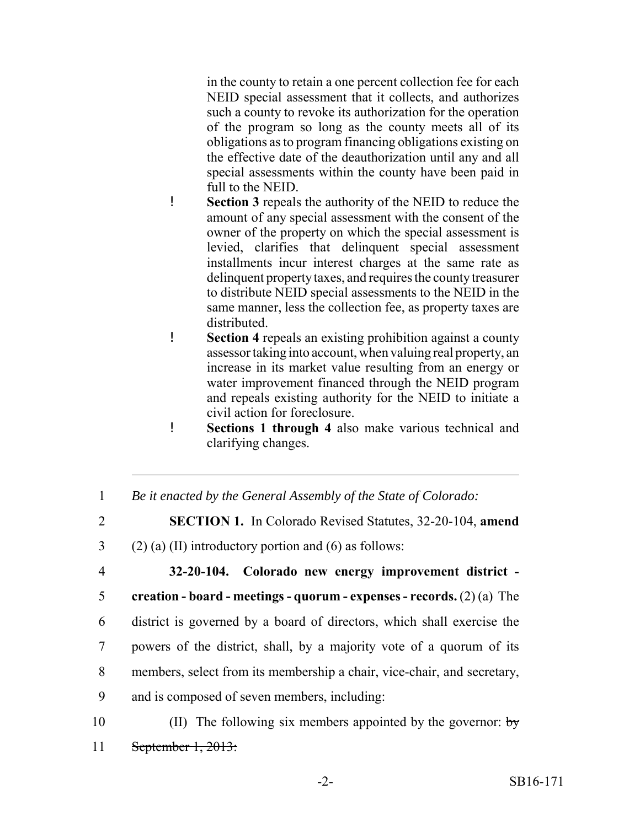in the county to retain a one percent collection fee for each NEID special assessment that it collects, and authorizes such a county to revoke its authorization for the operation of the program so long as the county meets all of its obligations as to program financing obligations existing on the effective date of the deauthorization until any and all special assessments within the county have been paid in full to the NEID.

- ! **Section 3** repeals the authority of the NEID to reduce the amount of any special assessment with the consent of the owner of the property on which the special assessment is levied, clarifies that delinquent special assessment installments incur interest charges at the same rate as delinquent property taxes, and requires the county treasurer to distribute NEID special assessments to the NEID in the same manner, less the collection fee, as property taxes are distributed.
- ! **Section 4** repeals an existing prohibition against a county assessor taking into account, when valuing real property, an increase in its market value resulting from an energy or water improvement financed through the NEID program and repeals existing authority for the NEID to initiate a civil action for foreclosure.
- ! **Sections 1 through 4** also make various technical and clarifying changes.
- 1 *Be it enacted by the General Assembly of the State of Colorado:*
- 2 **SECTION 1.** In Colorado Revised Statutes, 32-20-104, **amend**
- 3 (2) (a) (II) introductory portion and (6) as follows:

 **32-20-104. Colorado new energy improvement district - creation - board - meetings - quorum - expenses - records.** (2) (a) The district is governed by a board of directors, which shall exercise the powers of the district, shall, by a majority vote of a quorum of its members, select from its membership a chair, vice-chair, and secretary, and is composed of seven members, including:

10 (II) The following six members appointed by the governor:  $\frac{1}{2}$ 11 September 1, 2013: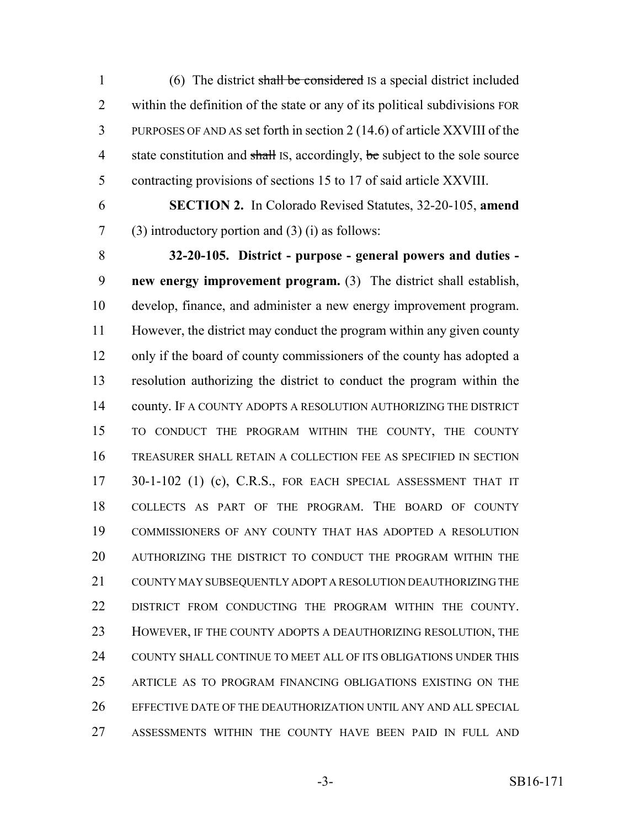(6) The district shall be considered IS a special district included within the definition of the state or any of its political subdivisions FOR PURPOSES OF AND AS set forth in section 2 (14.6) of article XXVIII of the 4 state constitution and shall IS, accordingly, be subject to the sole source contracting provisions of sections 15 to 17 of said article XXVIII.

**SECTION 2.** In Colorado Revised Statutes, 32-20-105, **amend**

(3) introductory portion and (3) (i) as follows:

 **32-20-105. District - purpose - general powers and duties - new energy improvement program.** (3) The district shall establish, develop, finance, and administer a new energy improvement program. However, the district may conduct the program within any given county only if the board of county commissioners of the county has adopted a resolution authorizing the district to conduct the program within the 14 county. IF A COUNTY ADOPTS A RESOLUTION AUTHORIZING THE DISTRICT TO CONDUCT THE PROGRAM WITHIN THE COUNTY, THE COUNTY TREASURER SHALL RETAIN A COLLECTION FEE AS SPECIFIED IN SECTION 17 30-1-102 (1) (c), C.R.S., FOR EACH SPECIAL ASSESSMENT THAT IT COLLECTS AS PART OF THE PROGRAM. THE BOARD OF COUNTY COMMISSIONERS OF ANY COUNTY THAT HAS ADOPTED A RESOLUTION AUTHORIZING THE DISTRICT TO CONDUCT THE PROGRAM WITHIN THE COUNTY MAY SUBSEQUENTLY ADOPT A RESOLUTION DEAUTHORIZING THE DISTRICT FROM CONDUCTING THE PROGRAM WITHIN THE COUNTY. HOWEVER, IF THE COUNTY ADOPTS A DEAUTHORIZING RESOLUTION, THE COUNTY SHALL CONTINUE TO MEET ALL OF ITS OBLIGATIONS UNDER THIS ARTICLE AS TO PROGRAM FINANCING OBLIGATIONS EXISTING ON THE EFFECTIVE DATE OF THE DEAUTHORIZATION UNTIL ANY AND ALL SPECIAL ASSESSMENTS WITHIN THE COUNTY HAVE BEEN PAID IN FULL AND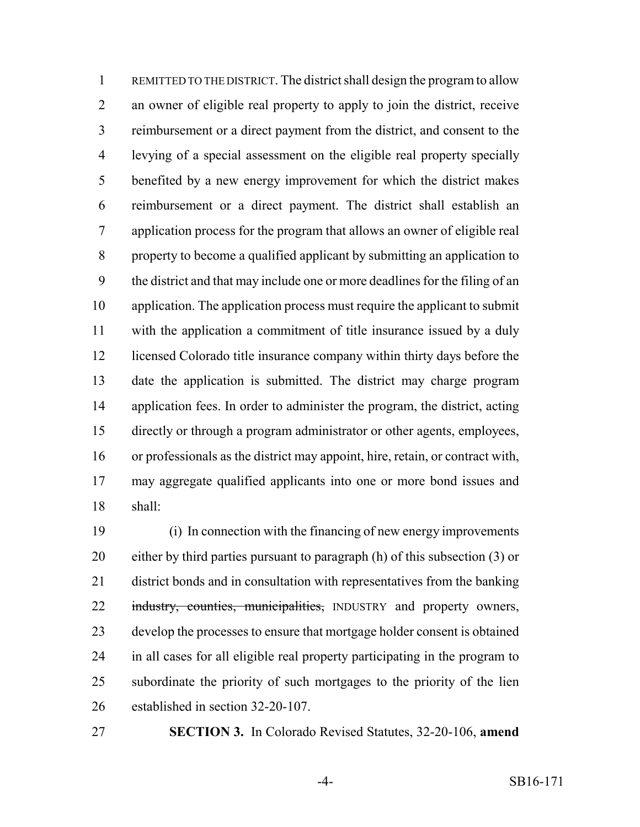REMITTED TO THE DISTRICT. The district shall design the program to allow an owner of eligible real property to apply to join the district, receive reimbursement or a direct payment from the district, and consent to the levying of a special assessment on the eligible real property specially benefited by a new energy improvement for which the district makes reimbursement or a direct payment. The district shall establish an application process for the program that allows an owner of eligible real property to become a qualified applicant by submitting an application to the district and that may include one or more deadlines for the filing of an application. The application process must require the applicant to submit with the application a commitment of title insurance issued by a duly licensed Colorado title insurance company within thirty days before the date the application is submitted. The district may charge program application fees. In order to administer the program, the district, acting directly or through a program administrator or other agents, employees, or professionals as the district may appoint, hire, retain, or contract with, may aggregate qualified applicants into one or more bond issues and shall:

 (i) In connection with the financing of new energy improvements either by third parties pursuant to paragraph (h) of this subsection (3) or district bonds and in consultation with representatives from the banking 22 industry, counties, municipalities, INDUSTRY and property owners, develop the processes to ensure that mortgage holder consent is obtained in all cases for all eligible real property participating in the program to subordinate the priority of such mortgages to the priority of the lien established in section 32-20-107.

**SECTION 3.** In Colorado Revised Statutes, 32-20-106, **amend**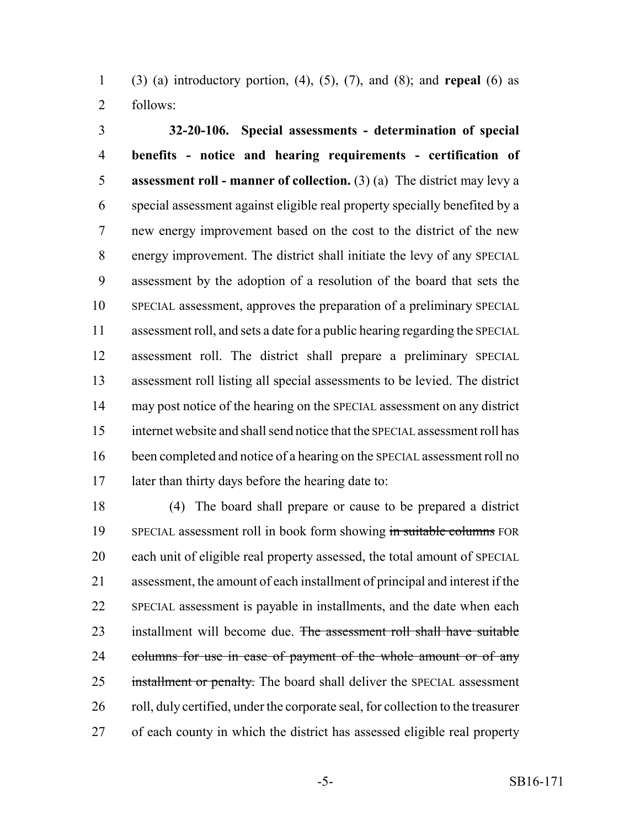(3) (a) introductory portion, (4), (5), (7), and (8); and **repeal** (6) as follows:

 **32-20-106. Special assessments - determination of special benefits - notice and hearing requirements - certification of assessment roll - manner of collection.** (3) (a) The district may levy a special assessment against eligible real property specially benefited by a new energy improvement based on the cost to the district of the new energy improvement. The district shall initiate the levy of any SPECIAL assessment by the adoption of a resolution of the board that sets the SPECIAL assessment, approves the preparation of a preliminary SPECIAL assessment roll, and sets a date for a public hearing regarding the SPECIAL assessment roll. The district shall prepare a preliminary SPECIAL assessment roll listing all special assessments to be levied. The district may post notice of the hearing on the SPECIAL assessment on any district internet website and shall send notice that the SPECIAL assessment roll has been completed and notice of a hearing on the SPECIAL assessment roll no later than thirty days before the hearing date to:

 (4) The board shall prepare or cause to be prepared a district 19 SPECIAL assessment roll in book form showing in suitable columns FOR each unit of eligible real property assessed, the total amount of SPECIAL assessment, the amount of each installment of principal and interest if the SPECIAL assessment is payable in installments, and the date when each 23 installment will become due. The assessment roll shall have suitable 24 columns for use in case of payment of the whole amount or of any 25 installment or penalty. The board shall deliver the SPECIAL assessment roll, duly certified, under the corporate seal, for collection to the treasurer of each county in which the district has assessed eligible real property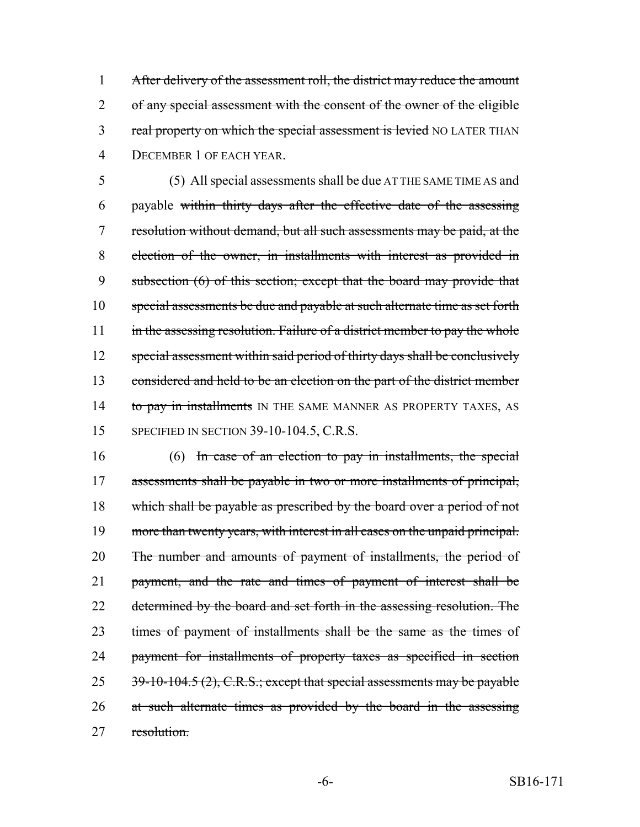1 After delivery of the assessment roll, the district may reduce the amount 2 of any special assessment with the consent of the owner of the eligible 3 real property on which the special assessment is levied NO LATER THAN 4 DECEMBER 1 OF EACH YEAR.

5 (5) All special assessments shall be due AT THE SAME TIME AS and 6 payable within thirty days after the effective date of the assessing 7 resolution without demand, but all such assessments may be paid, at the 8 election of the owner, in installments with interest as provided in 9 subsection (6) of this section; except that the board may provide that 10 special assessments be due and payable at such alternate time as set forth 11 in the assessing resolution. Failure of a district member to pay the whole 12 special assessment within said period of thirty days shall be conclusively 13 considered and held to be an election on the part of the district member 14 to pay in installments IN THE SAME MANNER AS PROPERTY TAXES, AS 15 SPECIFIED IN SECTION 39-10-104.5, C.R.S.

16 (6) In case of an election to pay in installments, the special 17 assessments shall be payable in two or more installments of principal, 18 which shall be payable as prescribed by the board over a period of not 19 more than twenty years, with interest in all cases on the unpaid principal. 20 The number and amounts of payment of installments, the period of 21 payment, and the rate and times of payment of interest shall be 22 determined by the board and set forth in the assessing resolution. The 23 times of payment of installments shall be the same as the times of 24 payment for installments of property taxes as specified in section 25 39-10-104.5 (2), C.R.S.; except that special assessments may be payable 26 at such alternate times as provided by the board in the assessing 27 resolution.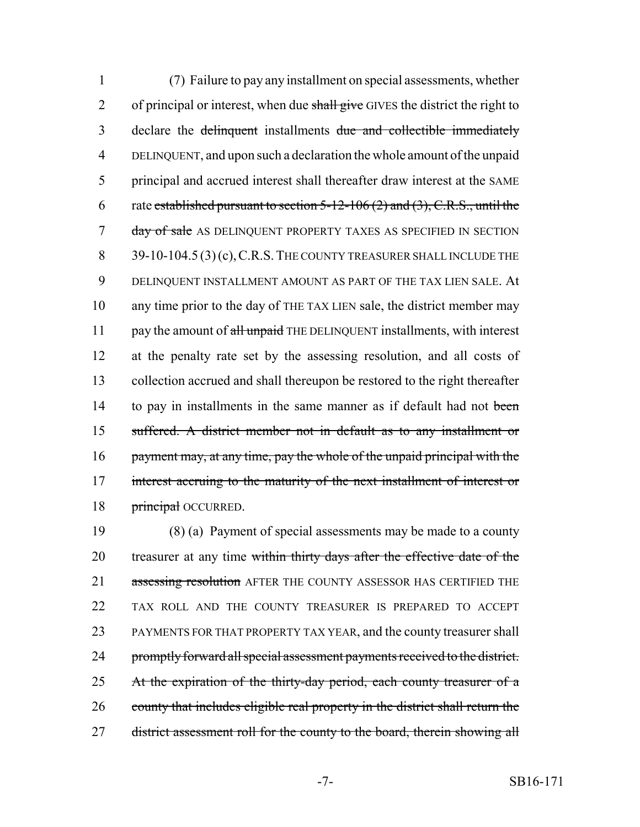1 (7) Failure to pay any installment on special assessments, whether 2 of principal or interest, when due shall give GIVES the district the right to 3 declare the delinquent installments due and collectible immediately 4 DELINQUENT, and upon such a declaration the whole amount of the unpaid 5 principal and accrued interest shall thereafter draw interest at the SAME 6 rate established pursuant to section  $5-12-106$  (2) and (3), C.R.S., until the 7 day of sale AS DELINQUENT PROPERTY TAXES AS SPECIFIED IN SECTION 8 39-10-104.5 (3) (c), C.R.S. THE COUNTY TREASURER SHALL INCLUDE THE 9 DELINQUENT INSTALLMENT AMOUNT AS PART OF THE TAX LIEN SALE. At 10 any time prior to the day of THE TAX LIEN sale, the district member may 11 pay the amount of all unpaid THE DELINQUENT installments, with interest 12 at the penalty rate set by the assessing resolution, and all costs of 13 collection accrued and shall thereupon be restored to the right thereafter 14 to pay in installments in the same manner as if default had not been 15 suffered. A district member not in default as to any installment or 16 payment may, at any time, pay the whole of the unpaid principal with the 17 interest accruing to the maturity of the next installment of interest or 18 **principal OCCURRED.** 

19 (8) (a) Payment of special assessments may be made to a county 20 treasurer at any time within thirty days after the effective date of the 21 assessing resolution AFTER THE COUNTY ASSESSOR HAS CERTIFIED THE 22 TAX ROLL AND THE COUNTY TREASURER IS PREPARED TO ACCEPT 23 PAYMENTS FOR THAT PROPERTY TAX YEAR, and the county treasurer shall 24 promptly forward all special assessment payments received to the district. 25 At the expiration of the thirty-day period, each county treasurer of a 26 county that includes eligible real property in the district shall return the 27 district assessment roll for the county to the board, therein showing all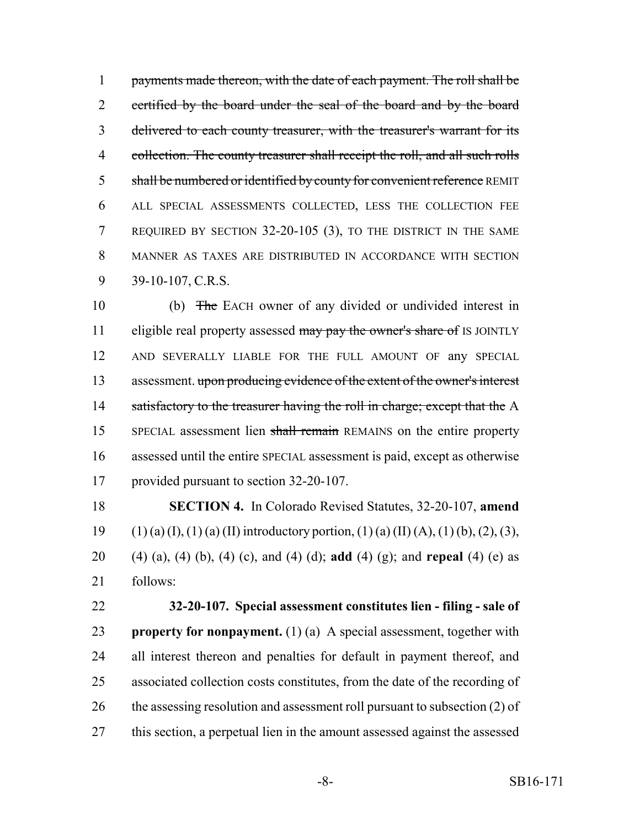1 payments made thereon, with the date of each payment. The roll shall be 2 certified by the board under the seal of the board and by the board delivered to each county treasurer, with the treasurer's warrant for its collection. The county treasurer shall receipt the roll, and all such rolls 5 shall be numbered or identified by county for convenient reference REMIT ALL SPECIAL ASSESSMENTS COLLECTED, LESS THE COLLECTION FEE REQUIRED BY SECTION 32-20-105 (3), TO THE DISTRICT IN THE SAME MANNER AS TAXES ARE DISTRIBUTED IN ACCORDANCE WITH SECTION 39-10-107, C.R.S.

 (b) The EACH owner of any divided or undivided interest in 11 eligible real property assessed may pay the owner's share of IS JOINTLY AND SEVERALLY LIABLE FOR THE FULL AMOUNT OF any SPECIAL 13 assessment. upon producing evidence of the extent of the owner's interest 14 satisfactory to the treasurer having the roll in charge; except that the A SPECIAL assessment lien shall remain REMAINS on the entire property assessed until the entire SPECIAL assessment is paid, except as otherwise provided pursuant to section 32-20-107.

 **SECTION 4.** In Colorado Revised Statutes, 32-20-107, **amend** 19 (1) (a) (I), (1) (a) (II) introductory portion, (1) (a) (II) (A), (1) (b), (2), (3), (4) (a), (4) (b), (4) (c), and (4) (d); **add** (4) (g); and **repeal** (4) (e) as follows:

 **32-20-107. Special assessment constitutes lien - filing - sale of property for nonpayment.** (1) (a) A special assessment, together with all interest thereon and penalties for default in payment thereof, and associated collection costs constitutes, from the date of the recording of 26 the assessing resolution and assessment roll pursuant to subsection (2) of this section, a perpetual lien in the amount assessed against the assessed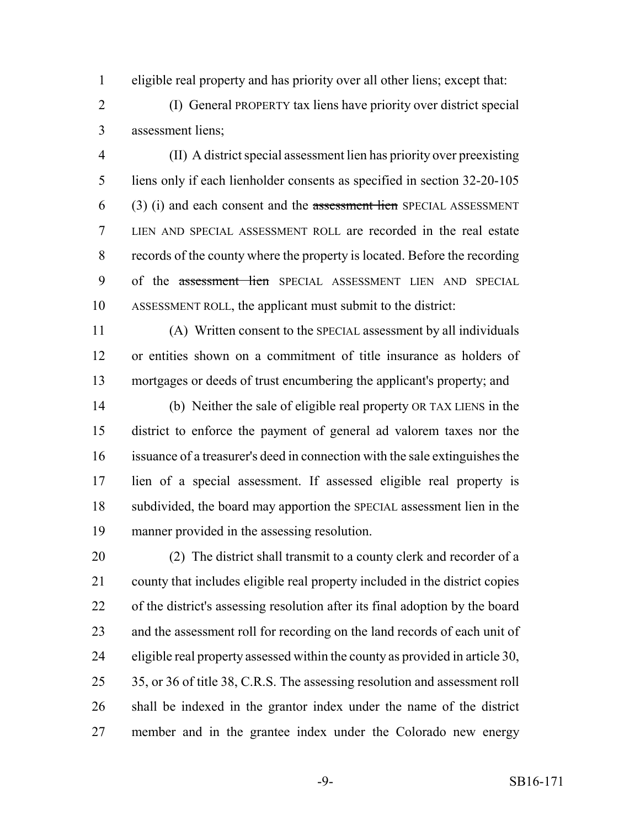eligible real property and has priority over all other liens; except that:

 (I) General PROPERTY tax liens have priority over district special assessment liens;

 (II) A district special assessment lien has priority over preexisting liens only if each lienholder consents as specified in section 32-20-105 (3) (i) and each consent and the assessment lien SPECIAL ASSESSMENT LIEN AND SPECIAL ASSESSMENT ROLL are recorded in the real estate records of the county where the property is located. Before the recording of the assessment lien SPECIAL ASSESSMENT LIEN AND SPECIAL ASSESSMENT ROLL, the applicant must submit to the district:

 (A) Written consent to the SPECIAL assessment by all individuals or entities shown on a commitment of title insurance as holders of mortgages or deeds of trust encumbering the applicant's property; and

 (b) Neither the sale of eligible real property OR TAX LIENS in the district to enforce the payment of general ad valorem taxes nor the issuance of a treasurer's deed in connection with the sale extinguishes the lien of a special assessment. If assessed eligible real property is subdivided, the board may apportion the SPECIAL assessment lien in the manner provided in the assessing resolution.

 (2) The district shall transmit to a county clerk and recorder of a county that includes eligible real property included in the district copies of the district's assessing resolution after its final adoption by the board and the assessment roll for recording on the land records of each unit of eligible real property assessed within the county as provided in article 30, 35, or 36 of title 38, C.R.S. The assessing resolution and assessment roll shall be indexed in the grantor index under the name of the district member and in the grantee index under the Colorado new energy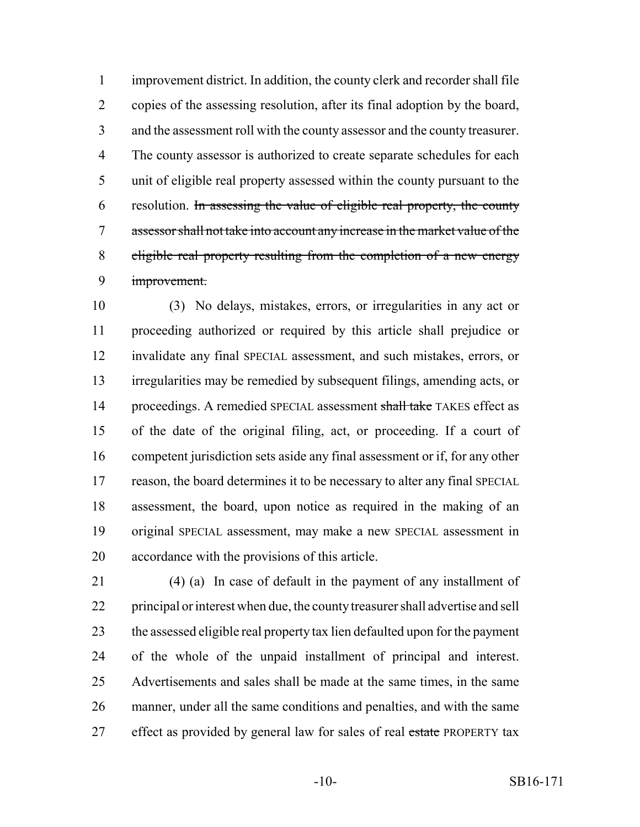improvement district. In addition, the county clerk and recorder shall file copies of the assessing resolution, after its final adoption by the board, and the assessment roll with the county assessor and the county treasurer. The county assessor is authorized to create separate schedules for each unit of eligible real property assessed within the county pursuant to the resolution. In assessing the value of eligible real property, the county assessor shall not take into account any increase in the market value of the eligible real property resulting from the completion of a new energy improvement.

 (3) No delays, mistakes, errors, or irregularities in any act or proceeding authorized or required by this article shall prejudice or invalidate any final SPECIAL assessment, and such mistakes, errors, or irregularities may be remedied by subsequent filings, amending acts, or 14 proceedings. A remedied SPECIAL assessment shall take TAKES effect as of the date of the original filing, act, or proceeding. If a court of competent jurisdiction sets aside any final assessment or if, for any other reason, the board determines it to be necessary to alter any final SPECIAL assessment, the board, upon notice as required in the making of an original SPECIAL assessment, may make a new SPECIAL assessment in accordance with the provisions of this article.

 (4) (a) In case of default in the payment of any installment of principal or interest when due, the county treasurer shall advertise and sell the assessed eligible real property tax lien defaulted upon for the payment of the whole of the unpaid installment of principal and interest. Advertisements and sales shall be made at the same times, in the same manner, under all the same conditions and penalties, and with the same 27 effect as provided by general law for sales of real estate PROPERTY tax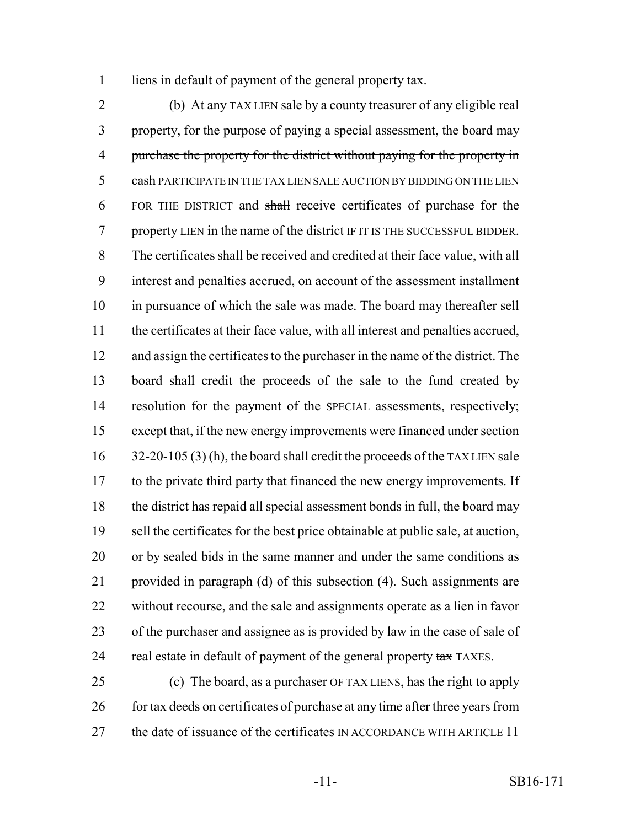liens in default of payment of the general property tax.

 (b) At any TAX LIEN sale by a county treasurer of any eligible real 3 property, for the purpose of paying a special assessment, the board may 4 purchase the property for the district without paying for the property in 5 cash PARTICIPATE IN THE TAX LIEN SALE AUCTION BY BIDDING ON THE LIEN 6 FOR THE DISTRICT and shall receive certificates of purchase for the 7 property LIEN in the name of the district IF IT IS THE SUCCESSFUL BIDDER. The certificates shall be received and credited at their face value, with all interest and penalties accrued, on account of the assessment installment in pursuance of which the sale was made. The board may thereafter sell the certificates at their face value, with all interest and penalties accrued, and assign the certificates to the purchaser in the name of the district. The board shall credit the proceeds of the sale to the fund created by resolution for the payment of the SPECIAL assessments, respectively; except that, if the new energy improvements were financed under section 16 32-20-105 (3) (h), the board shall credit the proceeds of the TAX LIEN sale to the private third party that financed the new energy improvements. If the district has repaid all special assessment bonds in full, the board may sell the certificates for the best price obtainable at public sale, at auction, or by sealed bids in the same manner and under the same conditions as provided in paragraph (d) of this subsection (4). Such assignments are without recourse, and the sale and assignments operate as a lien in favor of the purchaser and assignee as is provided by law in the case of sale of 24 real estate in default of payment of the general property tax TAXES.

 (c) The board, as a purchaser OF TAX LIENS, has the right to apply 26 for tax deeds on certificates of purchase at any time after three years from 27 the date of issuance of the certificates IN ACCORDANCE WITH ARTICLE 11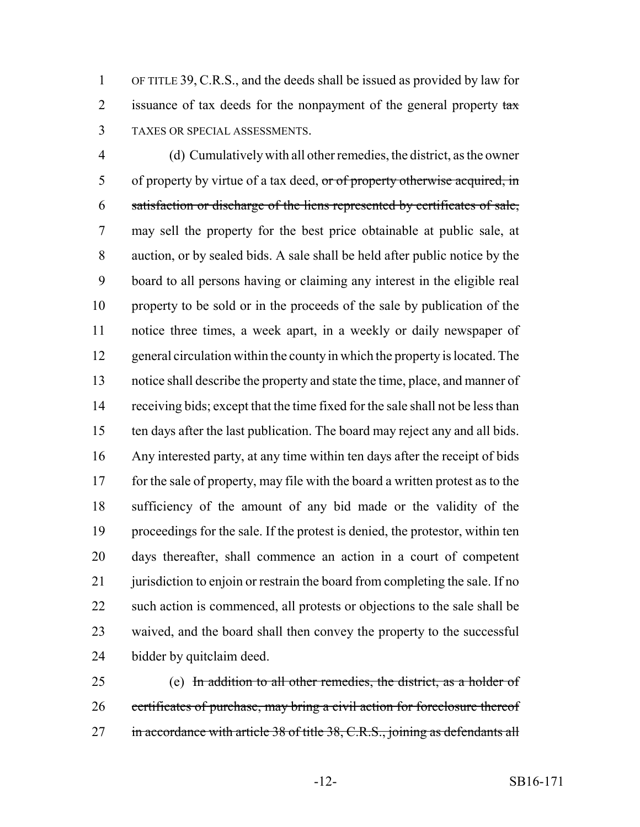OF TITLE 39, C.R.S., and the deeds shall be issued as provided by law for 2 issuance of tax deeds for the nonpayment of the general property  $\frac{1}{2}$ TAXES OR SPECIAL ASSESSMENTS.

 (d) Cumulatively with all other remedies, the district, as the owner 5 of property by virtue of a tax deed, or of property otherwise acquired, in satisfaction or discharge of the liens represented by certificates of sale, may sell the property for the best price obtainable at public sale, at auction, or by sealed bids. A sale shall be held after public notice by the board to all persons having or claiming any interest in the eligible real property to be sold or in the proceeds of the sale by publication of the notice three times, a week apart, in a weekly or daily newspaper of general circulation within the county in which the property is located. The notice shall describe the property and state the time, place, and manner of receiving bids; except that the time fixed for the sale shall not be less than ten days after the last publication. The board may reject any and all bids. Any interested party, at any time within ten days after the receipt of bids for the sale of property, may file with the board a written protest as to the sufficiency of the amount of any bid made or the validity of the proceedings for the sale. If the protest is denied, the protestor, within ten days thereafter, shall commence an action in a court of competent 21 jurisdiction to enjoin or restrain the board from completing the sale. If no such action is commenced, all protests or objections to the sale shall be waived, and the board shall then convey the property to the successful bidder by quitclaim deed.

 (e) In addition to all other remedies, the district, as a holder of 26 certificates of purchase, may bring a civil action for foreclosure thereof 27 in accordance with article 38 of title 38, C.R.S., joining as defendants all